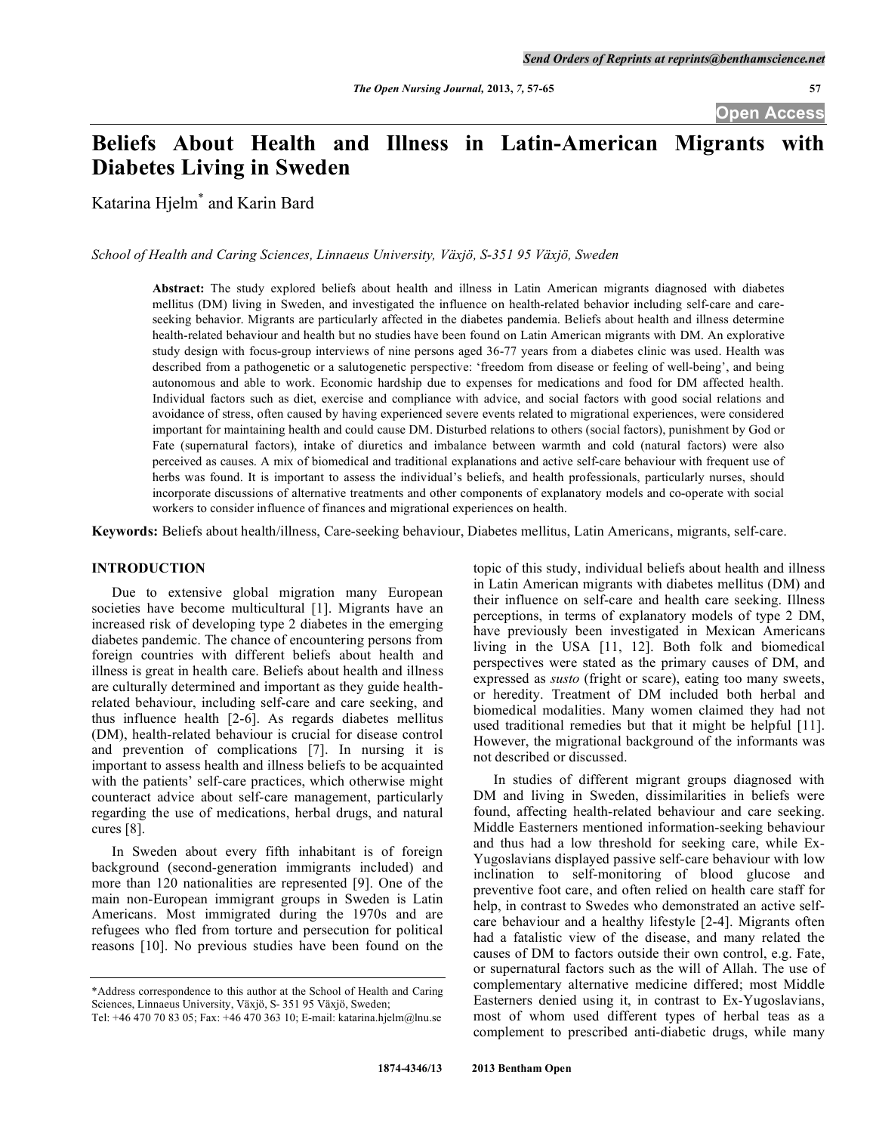# **Beliefs About Health and Illness in Latin-American Migrants with Diabetes Living in Sweden**

Katarina Hjelm\* and Karin Bard

*School of Health and Caring Sciences, Linnaeus University, Växjö, S-351 95 Växjö, Sweden* 

**Abstract:** The study explored beliefs about health and illness in Latin American migrants diagnosed with diabetes mellitus (DM) living in Sweden, and investigated the influence on health-related behavior including self-care and careseeking behavior. Migrants are particularly affected in the diabetes pandemia. Beliefs about health and illness determine health-related behaviour and health but no studies have been found on Latin American migrants with DM. An explorative study design with focus-group interviews of nine persons aged 36-77 years from a diabetes clinic was used. Health was described from a pathogenetic or a salutogenetic perspective: 'freedom from disease or feeling of well-being', and being autonomous and able to work. Economic hardship due to expenses for medications and food for DM affected health. Individual factors such as diet, exercise and compliance with advice, and social factors with good social relations and avoidance of stress, often caused by having experienced severe events related to migrational experiences, were considered important for maintaining health and could cause DM. Disturbed relations to others (social factors), punishment by God or Fate (supernatural factors), intake of diuretics and imbalance between warmth and cold (natural factors) were also perceived as causes. A mix of biomedical and traditional explanations and active self-care behaviour with frequent use of herbs was found. It is important to assess the individual's beliefs, and health professionals, particularly nurses, should incorporate discussions of alternative treatments and other components of explanatory models and co-operate with social workers to consider influence of finances and migrational experiences on health.

**Keywords:** Beliefs about health/illness, Care-seeking behaviour, Diabetes mellitus, Latin Americans, migrants, self-care.

# **INTRODUCTION**

 Due to extensive global migration many European societies have become multicultural [1]. Migrants have an increased risk of developing type 2 diabetes in the emerging diabetes pandemic. The chance of encountering persons from foreign countries with different beliefs about health and illness is great in health care. Beliefs about health and illness are culturally determined and important as they guide healthrelated behaviour, including self-care and care seeking, and thus influence health [2-6]. As regards diabetes mellitus (DM), health-related behaviour is crucial for disease control and prevention of complications [7]. In nursing it is important to assess health and illness beliefs to be acquainted with the patients' self-care practices, which otherwise might counteract advice about self-care management, particularly regarding the use of medications, herbal drugs, and natural cures [8].

 In Sweden about every fifth inhabitant is of foreign background (second-generation immigrants included) and more than 120 nationalities are represented [9]. One of the main non-European immigrant groups in Sweden is Latin Americans. Most immigrated during the 1970s and are refugees who fled from torture and persecution for political reasons [10]. No previous studies have been found on the

topic of this study, individual beliefs about health and illness in Latin American migrants with diabetes mellitus (DM) and their influence on self-care and health care seeking. Illness perceptions, in terms of explanatory models of type 2 DM, have previously been investigated in Mexican Americans living in the USA [11, 12]. Both folk and biomedical perspectives were stated as the primary causes of DM, and expressed as *susto* (fright or scare), eating too many sweets, or heredity. Treatment of DM included both herbal and biomedical modalities. Many women claimed they had not used traditional remedies but that it might be helpful [11]. However, the migrational background of the informants was not described or discussed.

 In studies of different migrant groups diagnosed with DM and living in Sweden, dissimilarities in beliefs were found, affecting health-related behaviour and care seeking. Middle Easterners mentioned information-seeking behaviour and thus had a low threshold for seeking care, while Ex-Yugoslavians displayed passive self-care behaviour with low inclination to self-monitoring of blood glucose and preventive foot care, and often relied on health care staff for help, in contrast to Swedes who demonstrated an active selfcare behaviour and a healthy lifestyle [2-4]. Migrants often had a fatalistic view of the disease, and many related the causes of DM to factors outside their own control, e.g. Fate, or supernatural factors such as the will of Allah. The use of complementary alternative medicine differed; most Middle Easterners denied using it, in contrast to Ex-Yugoslavians, most of whom used different types of herbal teas as a complement to prescribed anti-diabetic drugs, while many

<sup>\*</sup>Address correspondence to this author at the School of Health and Caring Sciences, Linnaeus University, Växjö, S- 351 95 Växjö, Sweden;

Tel: +46 470 70 83 05; Fax: +46 470 363 10; E-mail: katarina.hjelm@lnu.se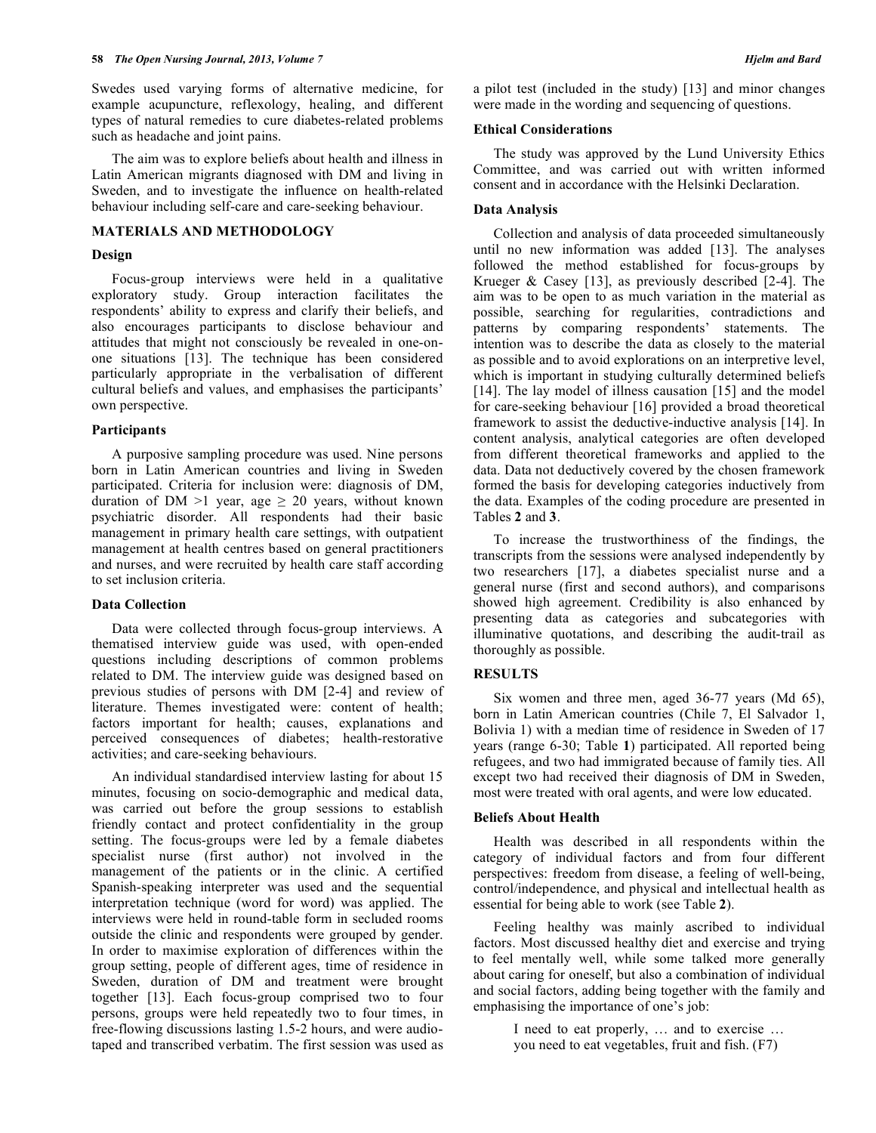Swedes used varying forms of alternative medicine, for example acupuncture, reflexology, healing, and different types of natural remedies to cure diabetes-related problems such as headache and joint pains.

 The aim was to explore beliefs about health and illness in Latin American migrants diagnosed with DM and living in Sweden, and to investigate the influence on health-related behaviour including self-care and care-seeking behaviour.

# **MATERIALS AND METHODOLOGY**

# **Design**

 Focus-group interviews were held in a qualitative exploratory study. Group interaction facilitates the respondents' ability to express and clarify their beliefs, and also encourages participants to disclose behaviour and attitudes that might not consciously be revealed in one-onone situations [13]. The technique has been considered particularly appropriate in the verbalisation of different cultural beliefs and values, and emphasises the participants' own perspective.

# **Participants**

 A purposive sampling procedure was used. Nine persons born in Latin American countries and living in Sweden participated. Criteria for inclusion were: diagnosis of DM, duration of DM  $>1$  year, age  $\geq$  20 years, without known psychiatric disorder. All respondents had their basic management in primary health care settings, with outpatient management at health centres based on general practitioners and nurses, and were recruited by health care staff according to set inclusion criteria.

# **Data Collection**

 Data were collected through focus-group interviews. A thematised interview guide was used, with open-ended questions including descriptions of common problems related to DM. The interview guide was designed based on previous studies of persons with DM [2-4] and review of literature. Themes investigated were: content of health; factors important for health; causes, explanations and perceived consequences of diabetes; health-restorative activities; and care-seeking behaviours.

 An individual standardised interview lasting for about 15 minutes, focusing on socio-demographic and medical data, was carried out before the group sessions to establish friendly contact and protect confidentiality in the group setting. The focus-groups were led by a female diabetes specialist nurse (first author) not involved in the management of the patients or in the clinic. A certified Spanish-speaking interpreter was used and the sequential interpretation technique (word for word) was applied. The interviews were held in round-table form in secluded rooms outside the clinic and respondents were grouped by gender. In order to maximise exploration of differences within the group setting, people of different ages, time of residence in Sweden, duration of DM and treatment were brought together [13]. Each focus-group comprised two to four persons, groups were held repeatedly two to four times, in free-flowing discussions lasting 1.5-2 hours, and were audiotaped and transcribed verbatim. The first session was used as

a pilot test (included in the study) [13] and minor changes were made in the wording and sequencing of questions.

# **Ethical Considerations**

 The study was approved by the Lund University Ethics Committee, and was carried out with written informed consent and in accordance with the Helsinki Declaration.

# **Data Analysis**

 Collection and analysis of data proceeded simultaneously until no new information was added [13]. The analyses followed the method established for focus-groups by Krueger & Casey [13], as previously described [2-4]. The aim was to be open to as much variation in the material as possible, searching for regularities, contradictions and patterns by comparing respondents' statements. The intention was to describe the data as closely to the material as possible and to avoid explorations on an interpretive level, which is important in studying culturally determined beliefs [14]. The lay model of illness causation [15] and the model for care-seeking behaviour [16] provided a broad theoretical framework to assist the deductive-inductive analysis [14]. In content analysis, analytical categories are often developed from different theoretical frameworks and applied to the data. Data not deductively covered by the chosen framework formed the basis for developing categories inductively from the data. Examples of the coding procedure are presented in Tables **2** and **3**.

 To increase the trustworthiness of the findings, the transcripts from the sessions were analysed independently by two researchers [17], a diabetes specialist nurse and a general nurse (first and second authors), and comparisons showed high agreement. Credibility is also enhanced by presenting data as categories and subcategories with illuminative quotations, and describing the audit-trail as thoroughly as possible.

# **RESULTS**

 Six women and three men, aged 36-77 years (Md 65), born in Latin American countries (Chile 7, El Salvador 1, Bolivia 1) with a median time of residence in Sweden of 17 years (range 6-30; Table **1**) participated. All reported being refugees, and two had immigrated because of family ties. All except two had received their diagnosis of DM in Sweden, most were treated with oral agents, and were low educated.

### **Beliefs About Health**

 Health was described in all respondents within the category of individual factors and from four different perspectives: freedom from disease, a feeling of well-being, control/independence, and physical and intellectual health as essential for being able to work (see Table **2**).

 Feeling healthy was mainly ascribed to individual factors. Most discussed healthy diet and exercise and trying to feel mentally well, while some talked more generally about caring for oneself, but also a combination of individual and social factors, adding being together with the family and emphasising the importance of one's job:

> I need to eat properly, … and to exercise … you need to eat vegetables, fruit and fish. (F7)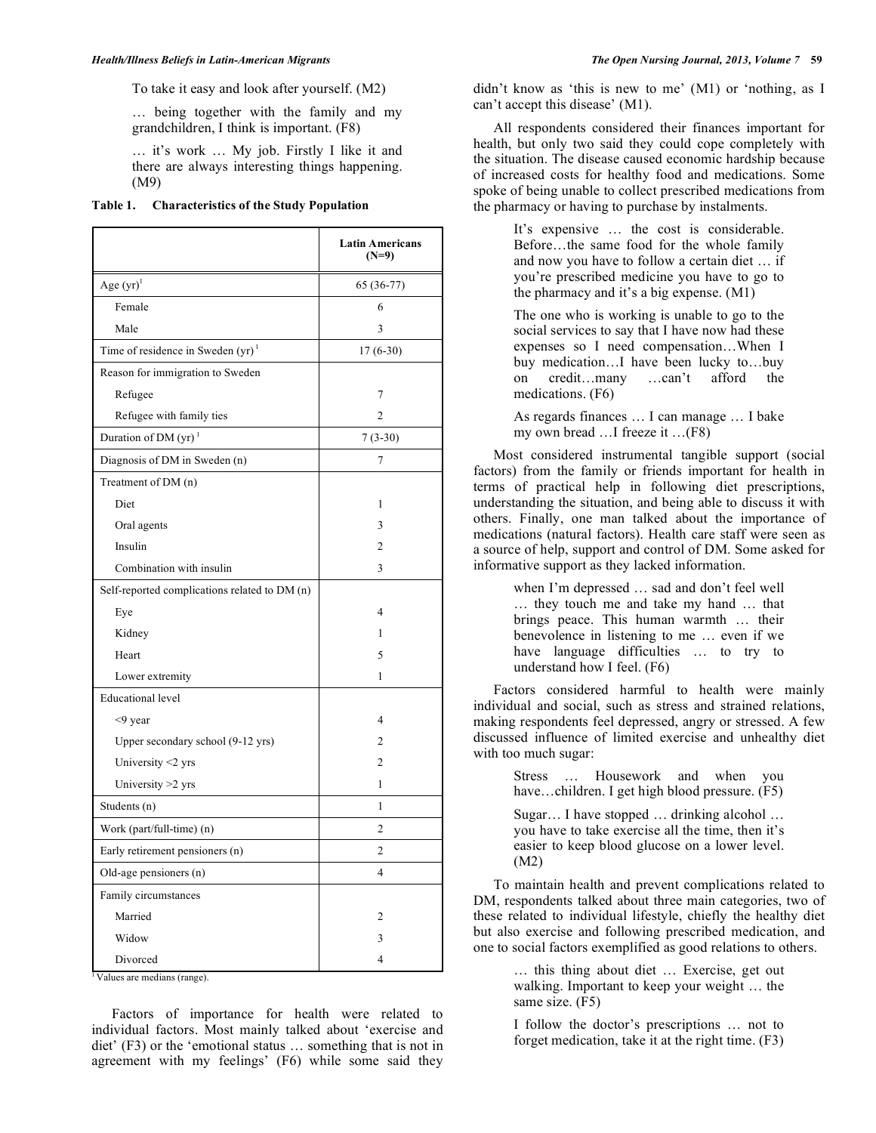To take it easy and look after yourself. (M2)

… being together with the family and my grandchildren, I think is important. (F8)

… it's work … My job. Firstly I like it and there are always interesting things happening. (M9)

| Table 1. | <b>Characteristics of the Study Population</b> |  |  |
|----------|------------------------------------------------|--|--|
|          |                                                |  |  |

|                                               | <b>Latin Americans</b><br>$(N=9)$ |
|-----------------------------------------------|-----------------------------------|
| Age $(yr)^1$                                  | 65 (36-77)                        |
| Female                                        | 6                                 |
| Male                                          | 3                                 |
| Time of residence in Sweden $(yr)^1$          | $17(6-30)$                        |
| Reason for immigration to Sweden              |                                   |
| Refugee                                       | 7                                 |
| Refugee with family ties                      | $\overline{c}$                    |
| Duration of DM $(yr)^1$                       | $7(3-30)$                         |
| Diagnosis of DM in Sweden (n)                 | 7                                 |
| Treatment of DM (n)                           |                                   |
| Diet                                          | 1                                 |
| Oral agents                                   | 3                                 |
| Insulin                                       | $\overline{c}$                    |
| Combination with insulin                      | 3                                 |
| Self-reported complications related to DM (n) |                                   |
| Eye                                           | $\overline{4}$                    |
| Kidney                                        | 1                                 |
| Heart                                         | 5                                 |
| Lower extremity                               | 1                                 |
| <b>Educational</b> level                      |                                   |
| $<$ 9 year                                    | $\overline{\mathcal{L}}$          |
| Upper secondary school (9-12 yrs)             | $\overline{2}$                    |
| University <2 yrs                             | $\overline{c}$                    |
| University $>2$ yrs                           | 1                                 |
| Students (n)                                  | 1                                 |
| Work (part/full-time) (n)                     | $\overline{c}$                    |
| Early retirement pensioners (n)               | $\overline{2}$                    |
| Old-age pensioners (n)                        | 4                                 |
| Family circumstances                          |                                   |
| Married                                       | 2                                 |
| Widow                                         | 3                                 |
| Divorced                                      | 4                                 |

<sup>1</sup> Values are medians (range).

 Factors of importance for health were related to individual factors. Most mainly talked about 'exercise and diet' (F3) or the 'emotional status … something that is not in agreement with my feelings' (F6) while some said they

didn't know as 'this is new to me' (M1) or 'nothing, as I can't accept this disease' (M1).

 All respondents considered their finances important for health, but only two said they could cope completely with the situation. The disease caused economic hardship because of increased costs for healthy food and medications. Some spoke of being unable to collect prescribed medications from the pharmacy or having to purchase by instalments.

> It's expensive … the cost is considerable. Before…the same food for the whole family and now you have to follow a certain diet … if you're prescribed medicine you have to go to the pharmacy and it's a big expense. (M1)

> The one who is working is unable to go to the social services to say that I have now had these expenses so I need compensation…When I buy medication…I have been lucky to…buy on credit…many …can't afford the medications. (F6)

> As regards finances … I can manage … I bake my own bread …I freeze it …(F8)

 Most considered instrumental tangible support (social factors) from the family or friends important for health in terms of practical help in following diet prescriptions, understanding the situation, and being able to discuss it with others. Finally, one man talked about the importance of medications (natural factors). Health care staff were seen as a source of help, support and control of DM. Some asked for informative support as they lacked information.

> when I'm depressed … sad and don't feel well … they touch me and take my hand … that brings peace. This human warmth … their benevolence in listening to me … even if we have language difficulties ... to try to understand how I feel. (F6)

 Factors considered harmful to health were mainly individual and social, such as stress and strained relations, making respondents feel depressed, angry or stressed. A few discussed influence of limited exercise and unhealthy diet with too much sugar:

> Stress … Housework and when you have...children. I get high blood pressure. (F5)

> Sugar… I have stopped … drinking alcohol … you have to take exercise all the time, then it's easier to keep blood glucose on a lower level. (M2)

 To maintain health and prevent complications related to DM, respondents talked about three main categories, two of these related to individual lifestyle, chiefly the healthy diet but also exercise and following prescribed medication, and one to social factors exemplified as good relations to others.

> … this thing about diet … Exercise, get out walking. Important to keep your weight … the same size. (F5)

> I follow the doctor's prescriptions … not to forget medication, take it at the right time. (F3)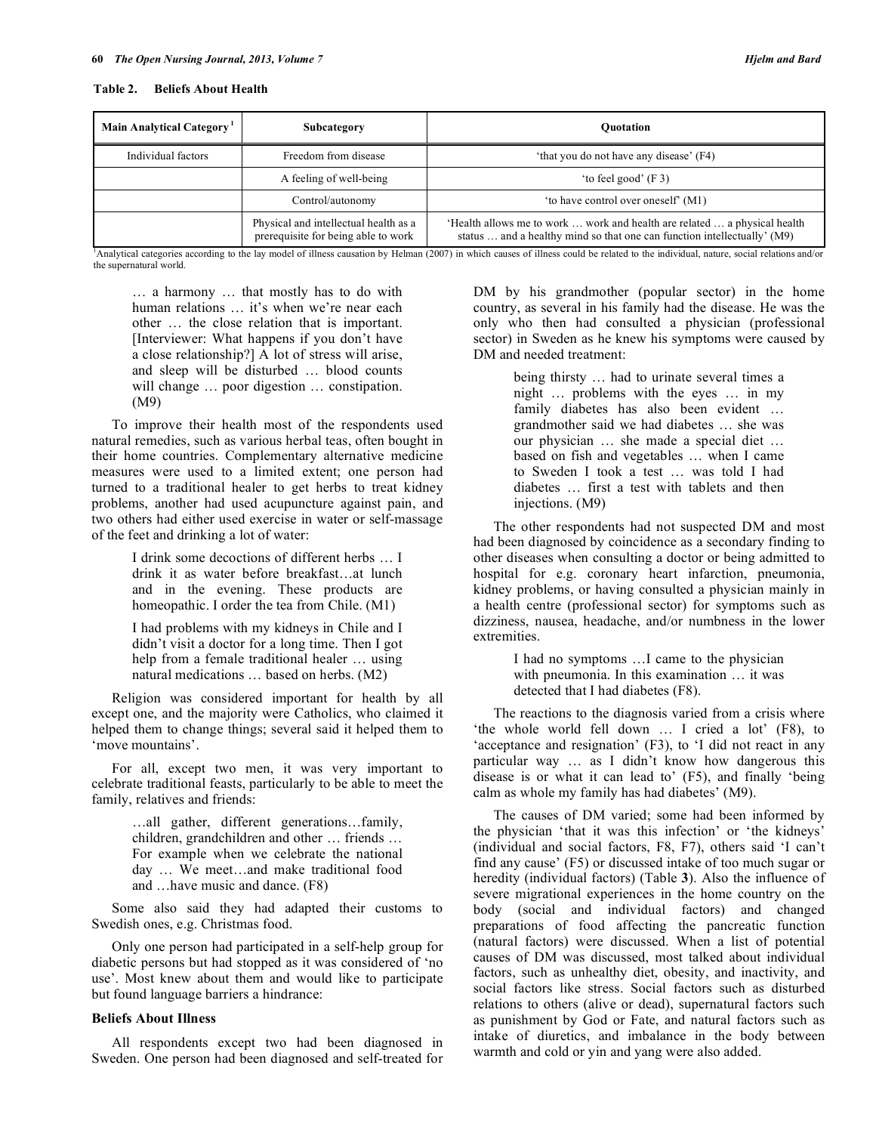#### **Table 2. Beliefs About Health**

| Main Analytical Category <sup>1</sup> | Subcategory                                                                  | <b>Ouotation</b>                                                                                                                                      |
|---------------------------------------|------------------------------------------------------------------------------|-------------------------------------------------------------------------------------------------------------------------------------------------------|
| Individual factors                    | Freedom from disease                                                         | 'that you do not have any disease' (F4)                                                                                                               |
|                                       | A feeling of well-being                                                      | 'to feel good' (F 3)                                                                                                                                  |
|                                       | Control/autonomy                                                             | 'to have control over oneself' (M1)                                                                                                                   |
|                                       | Physical and intellectual health as a<br>prerequisite for being able to work | 'Health allows me to work  work and health are related  a physical health<br>status  and a healthy mind so that one can function intellectually' (M9) |

1 Analytical categories according to the lay model of illness causation by Helman (2007) in which causes of illness could be related to the individual, nature, social relations and/or the supernatural world.

… a harmony … that mostly has to do with human relations ... it's when we're near each other … the close relation that is important. [Interviewer: What happens if you don't have a close relationship?] A lot of stress will arise, and sleep will be disturbed … blood counts will change ... poor digestion ... constipation. (M9)

 To improve their health most of the respondents used natural remedies, such as various herbal teas, often bought in their home countries. Complementary alternative medicine measures were used to a limited extent; one person had turned to a traditional healer to get herbs to treat kidney problems, another had used acupuncture against pain, and two others had either used exercise in water or self-massage of the feet and drinking a lot of water:

> I drink some decoctions of different herbs … I drink it as water before breakfast…at lunch and in the evening. These products are homeopathic. I order the tea from Chile. (M1)

> I had problems with my kidneys in Chile and I didn't visit a doctor for a long time. Then I got help from a female traditional healer … using natural medications … based on herbs. (M2)

 Religion was considered important for health by all except one, and the majority were Catholics, who claimed it helped them to change things; several said it helped them to 'move mountains'.

 For all, except two men, it was very important to celebrate traditional feasts, particularly to be able to meet the family, relatives and friends:

> …all gather, different generations…family, children, grandchildren and other … friends … For example when we celebrate the national day … We meet…and make traditional food and …have music and dance. (F8)

 Some also said they had adapted their customs to Swedish ones, e.g. Christmas food.

 Only one person had participated in a self-help group for diabetic persons but had stopped as it was considered of 'no use'. Most knew about them and would like to participate but found language barriers a hindrance:

#### **Beliefs About Illness**

 All respondents except two had been diagnosed in Sweden. One person had been diagnosed and self-treated for DM by his grandmother (popular sector) in the home country, as several in his family had the disease. He was the only who then had consulted a physician (professional sector) in Sweden as he knew his symptoms were caused by DM and needed treatment:

> being thirsty … had to urinate several times a night … problems with the eyes … in my family diabetes has also been evident … grandmother said we had diabetes … she was our physician … she made a special diet … based on fish and vegetables … when I came to Sweden I took a test … was told I had diabetes … first a test with tablets and then injections. (M9)

 The other respondents had not suspected DM and most had been diagnosed by coincidence as a secondary finding to other diseases when consulting a doctor or being admitted to hospital for e.g. coronary heart infarction, pneumonia, kidney problems, or having consulted a physician mainly in a health centre (professional sector) for symptoms such as dizziness, nausea, headache, and/or numbness in the lower extremities.

> I had no symptoms …I came to the physician with pneumonia. In this examination … it was detected that I had diabetes (F8).

 The reactions to the diagnosis varied from a crisis where 'the whole world fell down … I cried a lot' (F8), to 'acceptance and resignation' (F3), to 'I did not react in any particular way … as I didn't know how dangerous this disease is or what it can lead to' (F5), and finally 'being calm as whole my family has had diabetes' (M9).

 The causes of DM varied; some had been informed by the physician 'that it was this infection' or 'the kidneys' (individual and social factors, F8, F7), others said 'I can't find any cause' (F5) or discussed intake of too much sugar or heredity (individual factors) (Table **3**). Also the influence of severe migrational experiences in the home country on the body (social and individual factors) and changed preparations of food affecting the pancreatic function (natural factors) were discussed. When a list of potential causes of DM was discussed, most talked about individual factors, such as unhealthy diet, obesity, and inactivity, and social factors like stress. Social factors such as disturbed relations to others (alive or dead), supernatural factors such as punishment by God or Fate, and natural factors such as intake of diuretics, and imbalance in the body between warmth and cold or yin and yang were also added.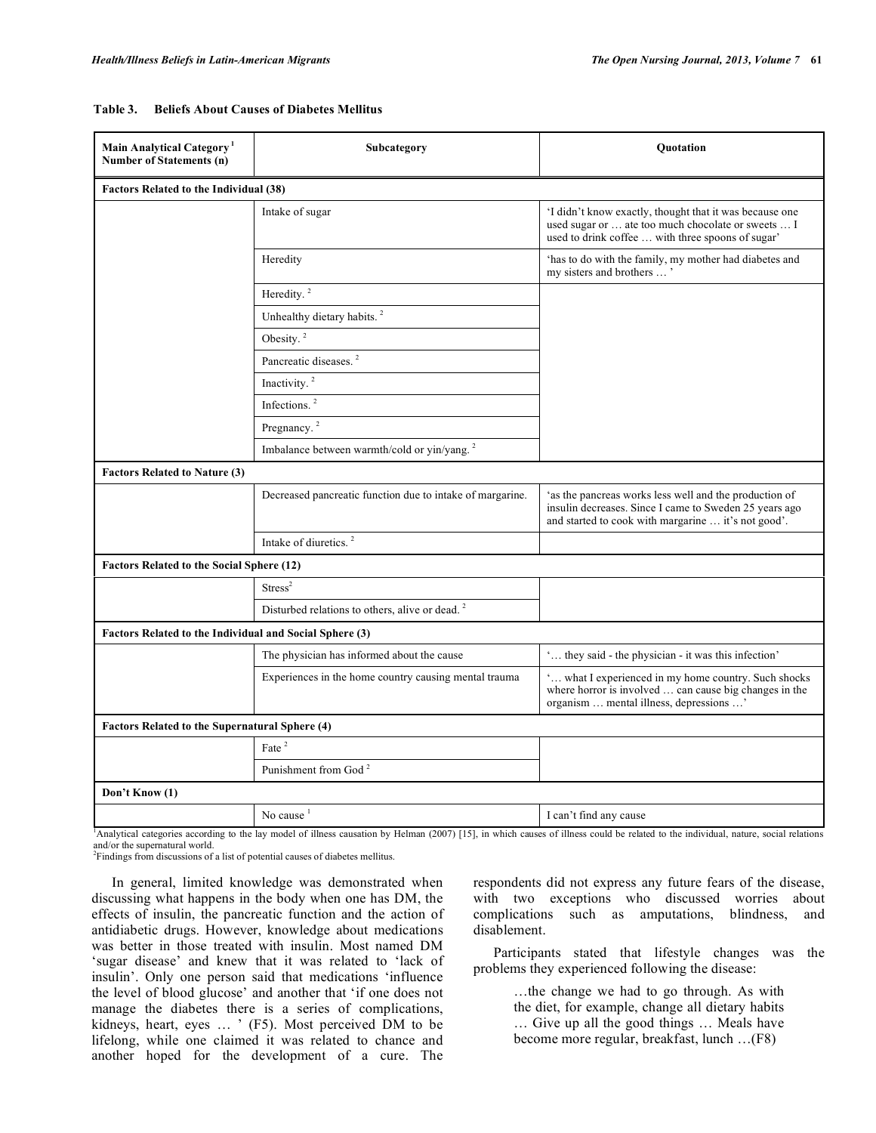| Main Analytical Category <sup>1</sup><br>Number of Statements (n) | Subcategory                                                | Ouotation                                                                                                                                                               |  |  |  |
|-------------------------------------------------------------------|------------------------------------------------------------|-------------------------------------------------------------------------------------------------------------------------------------------------------------------------|--|--|--|
| <b>Factors Related to the Individual (38)</b>                     |                                                            |                                                                                                                                                                         |  |  |  |
|                                                                   | Intake of sugar                                            | 'I didn't know exactly, thought that it was because one<br>used sugar or  ate too much chocolate or sweets  I<br>used to drink coffee  with three spoons of sugar'      |  |  |  |
|                                                                   | Heredity                                                   | 'has to do with the family, my mother had diabetes and my sisters and brothers $\ldots$ '                                                                               |  |  |  |
|                                                                   | Heredity. <sup>2</sup>                                     |                                                                                                                                                                         |  |  |  |
|                                                                   | Unhealthy dietary habits. <sup>2</sup>                     |                                                                                                                                                                         |  |  |  |
|                                                                   | Obesity. <sup>2</sup>                                      |                                                                                                                                                                         |  |  |  |
|                                                                   | Pancreatic diseases. <sup>2</sup>                          |                                                                                                                                                                         |  |  |  |
|                                                                   | Inactivity. <sup>2</sup>                                   |                                                                                                                                                                         |  |  |  |
|                                                                   | Infections. <sup>2</sup>                                   |                                                                                                                                                                         |  |  |  |
|                                                                   | Pregnancy. <sup>2</sup>                                    |                                                                                                                                                                         |  |  |  |
|                                                                   | Imbalance between warmth/cold or yin/yang. <sup>2</sup>    |                                                                                                                                                                         |  |  |  |
| <b>Factors Related to Nature (3)</b>                              |                                                            |                                                                                                                                                                         |  |  |  |
|                                                                   | Decreased pancreatic function due to intake of margarine.  | 'as the pancreas works less well and the production of<br>insulin decreases. Since I came to Sweden 25 years ago<br>and started to cook with margarine  it's not good'. |  |  |  |
|                                                                   | Intake of diuretics. <sup>2</sup>                          |                                                                                                                                                                         |  |  |  |
| <b>Factors Related to the Social Sphere (12)</b>                  |                                                            |                                                                                                                                                                         |  |  |  |
|                                                                   | Stress <sup>2</sup>                                        |                                                                                                                                                                         |  |  |  |
|                                                                   | Disturbed relations to others, alive or dead. <sup>2</sup> |                                                                                                                                                                         |  |  |  |
|                                                                   | Factors Related to the Individual and Social Sphere (3)    |                                                                                                                                                                         |  |  |  |
|                                                                   | The physician has informed about the cause                 | ' they said - the physician - it was this infection'                                                                                                                    |  |  |  |
|                                                                   | Experiences in the home country causing mental trauma      | ' what I experienced in my home country. Such shocks<br>where horror is involved  can cause big changes in the<br>organism  mental illness, depressions '               |  |  |  |
| Factors Related to the Supernatural Sphere (4)                    |                                                            |                                                                                                                                                                         |  |  |  |
|                                                                   | Fate $^2$                                                  |                                                                                                                                                                         |  |  |  |
|                                                                   | Punishment from God <sup>2</sup>                           |                                                                                                                                                                         |  |  |  |
| Don't Know (1)                                                    |                                                            |                                                                                                                                                                         |  |  |  |
|                                                                   | No cause <sup>1</sup>                                      | I can't find any cause                                                                                                                                                  |  |  |  |

#### **Table 3. Beliefs About Causes of Diabetes Mellitus**

<sup>1</sup>Analytical categories according to the lay model of illness causation by Helman (2007) [15], in which causes of illness could be related to the individual, nature, social relations and/or the supernatural world.

<sup>2</sup>Findings from discussions of a list of potential causes of diabetes mellitus.

 In general, limited knowledge was demonstrated when discussing what happens in the body when one has DM, the effects of insulin, the pancreatic function and the action of antidiabetic drugs. However, knowledge about medications was better in those treated with insulin. Most named DM 'sugar disease' and knew that it was related to 'lack of insulin'. Only one person said that medications 'influence the level of blood glucose' and another that 'if one does not manage the diabetes there is a series of complications, kidneys, heart, eyes … ' (F5). Most perceived DM to be lifelong, while one claimed it was related to chance and another hoped for the development of a cure. The

respondents did not express any future fears of the disease, with two exceptions who discussed worries about complications such as amputations, blindness, and disablement.

 Participants stated that lifestyle changes was the problems they experienced following the disease:

> …the change we had to go through. As with the diet, for example, change all dietary habits … Give up all the good things … Meals have become more regular, breakfast, lunch …(F8)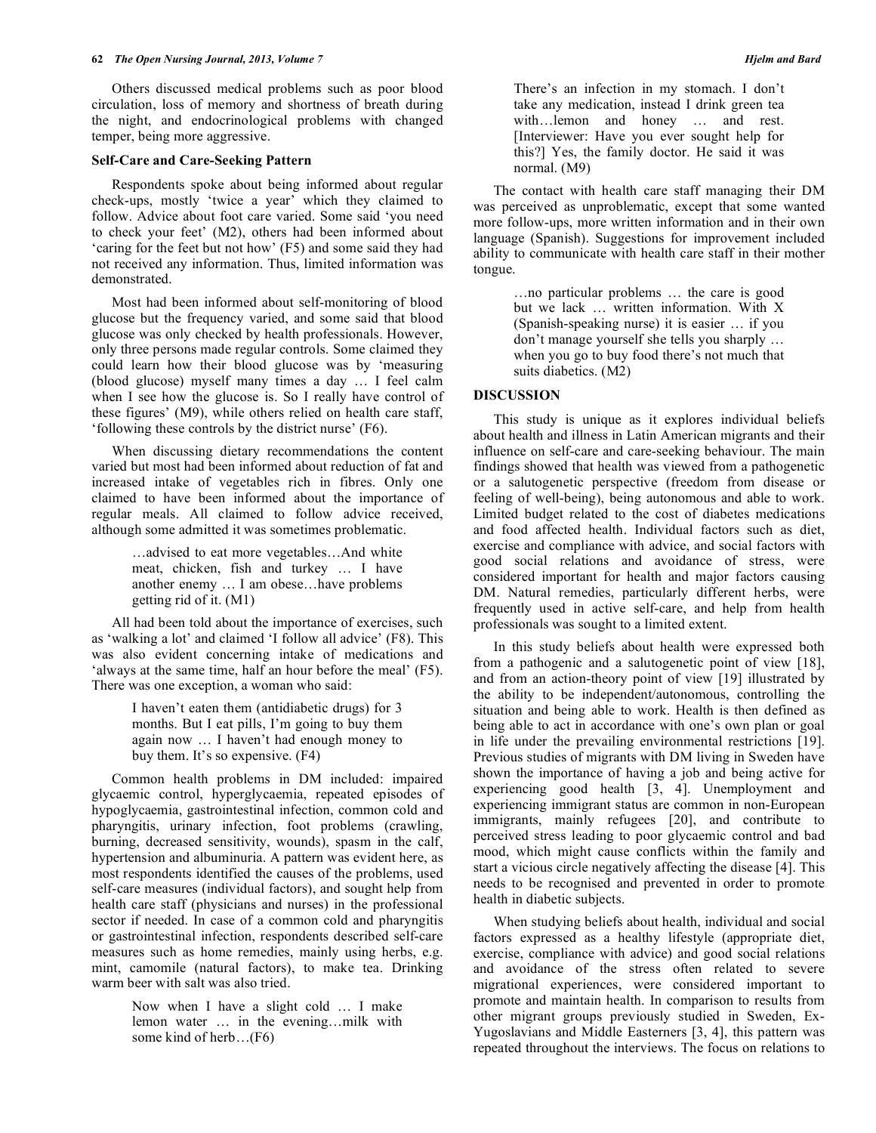Others discussed medical problems such as poor blood circulation, loss of memory and shortness of breath during the night, and endocrinological problems with changed temper, being more aggressive.

#### **Self-Care and Care-Seeking Pattern**

 Respondents spoke about being informed about regular check-ups, mostly 'twice a year' which they claimed to follow. Advice about foot care varied. Some said 'you need to check your feet' (M2), others had been informed about 'caring for the feet but not how' (F5) and some said they had not received any information. Thus, limited information was demonstrated.

 Most had been informed about self-monitoring of blood glucose but the frequency varied, and some said that blood glucose was only checked by health professionals. However, only three persons made regular controls. Some claimed they could learn how their blood glucose was by 'measuring (blood glucose) myself many times a day … I feel calm when I see how the glucose is. So I really have control of these figures' (M9), while others relied on health care staff, 'following these controls by the district nurse' (F6).

 When discussing dietary recommendations the content varied but most had been informed about reduction of fat and increased intake of vegetables rich in fibres. Only one claimed to have been informed about the importance of regular meals. All claimed to follow advice received, although some admitted it was sometimes problematic.

> …advised to eat more vegetables…And white meat, chicken, fish and turkey … I have another enemy … I am obese…have problems getting rid of it. (M1)

 All had been told about the importance of exercises, such as 'walking a lot' and claimed 'I follow all advice' (F8). This was also evident concerning intake of medications and 'always at the same time, half an hour before the meal' (F5). There was one exception, a woman who said:

> I haven't eaten them (antidiabetic drugs) for 3 months. But I eat pills, I'm going to buy them again now … I haven't had enough money to buy them. It's so expensive. (F4)

 Common health problems in DM included: impaired glycaemic control, hyperglycaemia, repeated episodes of hypoglycaemia, gastrointestinal infection, common cold and pharyngitis, urinary infection, foot problems (crawling, burning, decreased sensitivity, wounds), spasm in the calf, hypertension and albuminuria. A pattern was evident here, as most respondents identified the causes of the problems, used self-care measures (individual factors), and sought help from health care staff (physicians and nurses) in the professional sector if needed. In case of a common cold and pharyngitis or gastrointestinal infection, respondents described self-care measures such as home remedies, mainly using herbs, e.g. mint, camomile (natural factors), to make tea. Drinking warm beer with salt was also tried.

> Now when I have a slight cold … I make lemon water … in the evening…milk with some kind of herb…(F6)

There's an infection in my stomach. I don't take any medication, instead I drink green tea with…lemon and honey … and rest. [Interviewer: Have you ever sought help for this?] Yes, the family doctor. He said it was normal. (M9)

 The contact with health care staff managing their DM was perceived as unproblematic, except that some wanted more follow-ups, more written information and in their own language (Spanish). Suggestions for improvement included ability to communicate with health care staff in their mother tongue.

> …no particular problems … the care is good but we lack … written information. With X (Spanish-speaking nurse) it is easier … if you don't manage yourself she tells you sharply … when you go to buy food there's not much that suits diabetics. (M2)

#### **DISCUSSION**

 This study is unique as it explores individual beliefs about health and illness in Latin American migrants and their influence on self-care and care-seeking behaviour. The main findings showed that health was viewed from a pathogenetic or a salutogenetic perspective (freedom from disease or feeling of well-being), being autonomous and able to work. Limited budget related to the cost of diabetes medications and food affected health. Individual factors such as diet, exercise and compliance with advice, and social factors with good social relations and avoidance of stress, were considered important for health and major factors causing DM. Natural remedies, particularly different herbs, were frequently used in active self-care, and help from health professionals was sought to a limited extent.

 In this study beliefs about health were expressed both from a pathogenic and a salutogenetic point of view [18], and from an action-theory point of view [19] illustrated by the ability to be independent/autonomous, controlling the situation and being able to work. Health is then defined as being able to act in accordance with one's own plan or goal in life under the prevailing environmental restrictions [19]. Previous studies of migrants with DM living in Sweden have shown the importance of having a job and being active for experiencing good health [3, 4]. Unemployment and experiencing immigrant status are common in non-European immigrants, mainly refugees [20], and contribute to perceived stress leading to poor glycaemic control and bad mood, which might cause conflicts within the family and start a vicious circle negatively affecting the disease [4]. This needs to be recognised and prevented in order to promote health in diabetic subjects.

 When studying beliefs about health, individual and social factors expressed as a healthy lifestyle (appropriate diet, exercise, compliance with advice) and good social relations and avoidance of the stress often related to severe migrational experiences, were considered important to promote and maintain health. In comparison to results from other migrant groups previously studied in Sweden, Ex-Yugoslavians and Middle Easterners [3, 4], this pattern was repeated throughout the interviews. The focus on relations to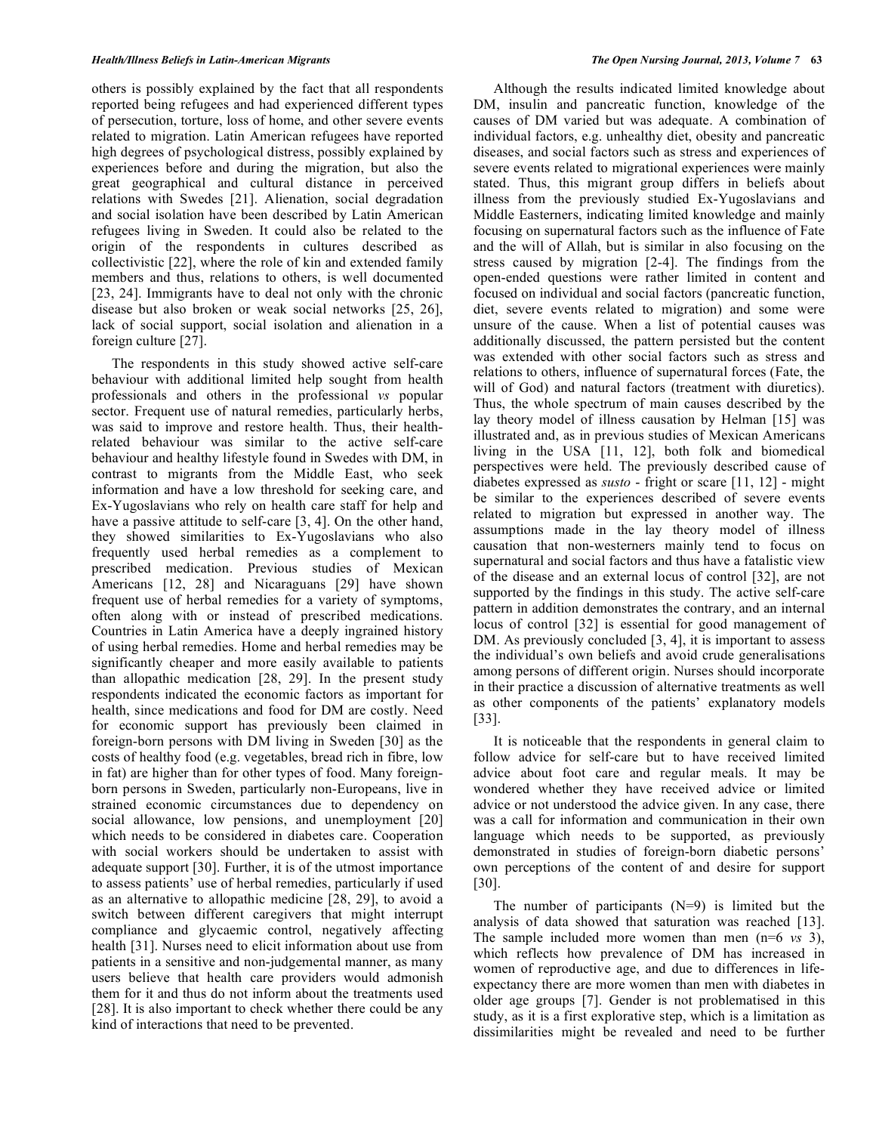others is possibly explained by the fact that all respondents reported being refugees and had experienced different types of persecution, torture, loss of home, and other severe events related to migration. Latin American refugees have reported high degrees of psychological distress, possibly explained by experiences before and during the migration, but also the great geographical and cultural distance in perceived relations with Swedes [21]. Alienation, social degradation and social isolation have been described by Latin American refugees living in Sweden. It could also be related to the origin of the respondents in cultures described as collectivistic [22], where the role of kin and extended family members and thus, relations to others, is well documented [23, 24]. Immigrants have to deal not only with the chronic disease but also broken or weak social networks [25, 26], lack of social support, social isolation and alienation in a foreign culture [27].

 The respondents in this study showed active self-care behaviour with additional limited help sought from health professionals and others in the professional *vs* popular sector. Frequent use of natural remedies, particularly herbs, was said to improve and restore health. Thus, their healthrelated behaviour was similar to the active self-care behaviour and healthy lifestyle found in Swedes with DM, in contrast to migrants from the Middle East, who seek information and have a low threshold for seeking care, and Ex-Yugoslavians who rely on health care staff for help and have a passive attitude to self-care [3, 4]. On the other hand, they showed similarities to Ex-Yugoslavians who also frequently used herbal remedies as a complement to prescribed medication. Previous studies of Mexican Americans [12, 28] and Nicaraguans [29] have shown frequent use of herbal remedies for a variety of symptoms, often along with or instead of prescribed medications. Countries in Latin America have a deeply ingrained history of using herbal remedies. Home and herbal remedies may be significantly cheaper and more easily available to patients than allopathic medication [28, 29]. In the present study respondents indicated the economic factors as important for health, since medications and food for DM are costly. Need for economic support has previously been claimed in foreign-born persons with DM living in Sweden [30] as the costs of healthy food (e.g. vegetables, bread rich in fibre, low in fat) are higher than for other types of food. Many foreignborn persons in Sweden, particularly non-Europeans, live in strained economic circumstances due to dependency on social allowance, low pensions, and unemployment [20] which needs to be considered in diabetes care. Cooperation with social workers should be undertaken to assist with adequate support [30]. Further, it is of the utmost importance to assess patients' use of herbal remedies, particularly if used as an alternative to allopathic medicine [28, 29], to avoid a switch between different caregivers that might interrupt compliance and glycaemic control, negatively affecting health [31]. Nurses need to elicit information about use from patients in a sensitive and non-judgemental manner, as many users believe that health care providers would admonish them for it and thus do not inform about the treatments used [28]. It is also important to check whether there could be any kind of interactions that need to be prevented.

 Although the results indicated limited knowledge about DM, insulin and pancreatic function, knowledge of the causes of DM varied but was adequate. A combination of individual factors, e.g. unhealthy diet, obesity and pancreatic diseases, and social factors such as stress and experiences of severe events related to migrational experiences were mainly stated. Thus, this migrant group differs in beliefs about illness from the previously studied Ex-Yugoslavians and Middle Easterners, indicating limited knowledge and mainly focusing on supernatural factors such as the influence of Fate and the will of Allah, but is similar in also focusing on the stress caused by migration [2-4]. The findings from the open-ended questions were rather limited in content and focused on individual and social factors (pancreatic function, diet, severe events related to migration) and some were unsure of the cause. When a list of potential causes was additionally discussed, the pattern persisted but the content was extended with other social factors such as stress and relations to others, influence of supernatural forces (Fate, the will of God) and natural factors (treatment with diuretics). Thus, the whole spectrum of main causes described by the lay theory model of illness causation by Helman [15] was illustrated and, as in previous studies of Mexican Americans living in the USA [11, 12], both folk and biomedical perspectives were held. The previously described cause of diabetes expressed as *susto* - fright or scare [11, 12] - might be similar to the experiences described of severe events related to migration but expressed in another way. The assumptions made in the lay theory model of illness causation that non-westerners mainly tend to focus on supernatural and social factors and thus have a fatalistic view of the disease and an external locus of control [32], are not supported by the findings in this study. The active self-care pattern in addition demonstrates the contrary, and an internal locus of control [32] is essential for good management of DM. As previously concluded [3, 4], it is important to assess the individual's own beliefs and avoid crude generalisations among persons of different origin. Nurses should incorporate in their practice a discussion of alternative treatments as well as other components of the patients' explanatory models [33].

 It is noticeable that the respondents in general claim to follow advice for self-care but to have received limited advice about foot care and regular meals. It may be wondered whether they have received advice or limited advice or not understood the advice given. In any case, there was a call for information and communication in their own language which needs to be supported, as previously demonstrated in studies of foreign-born diabetic persons' own perceptions of the content of and desire for support [30].

The number of participants  $(N=9)$  is limited but the analysis of data showed that saturation was reached [13]. The sample included more women than men (n=6 *vs* 3), which reflects how prevalence of DM has increased in women of reproductive age, and due to differences in lifeexpectancy there are more women than men with diabetes in older age groups [7]. Gender is not problematised in this study, as it is a first explorative step, which is a limitation as dissimilarities might be revealed and need to be further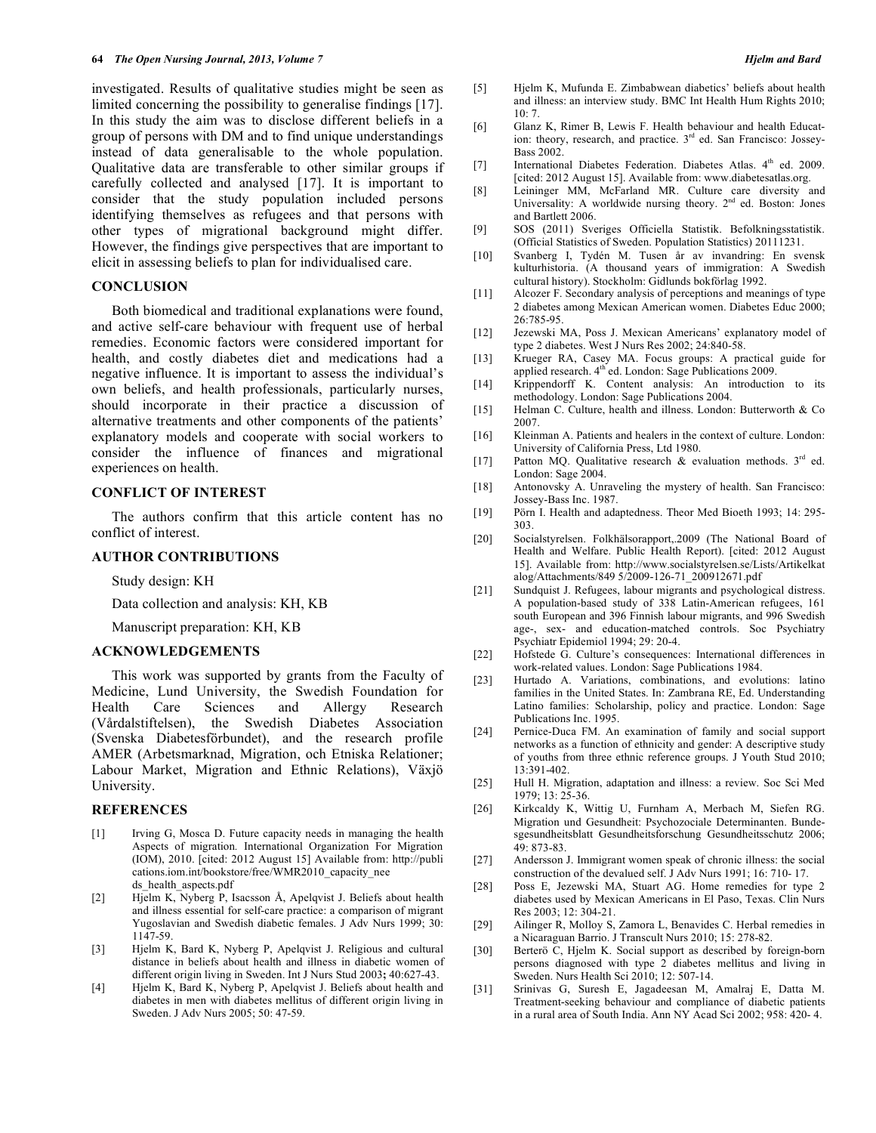investigated. Results of qualitative studies might be seen as limited concerning the possibility to generalise findings [17]. In this study the aim was to disclose different beliefs in a group of persons with DM and to find unique understandings instead of data generalisable to the whole population. Qualitative data are transferable to other similar groups if carefully collected and analysed [17]. It is important to consider that the study population included persons identifying themselves as refugees and that persons with other types of migrational background might differ. However, the findings give perspectives that are important to elicit in assessing beliefs to plan for individualised care.

## **CONCLUSION**

 Both biomedical and traditional explanations were found, and active self-care behaviour with frequent use of herbal remedies. Economic factors were considered important for health, and costly diabetes diet and medications had a negative influence. It is important to assess the individual's own beliefs, and health professionals, particularly nurses, should incorporate in their practice a discussion of alternative treatments and other components of the patients' explanatory models and cooperate with social workers to consider the influence of finances and migrational experiences on health.

### **CONFLICT OF INTEREST**

 The authors confirm that this article content has no conflict of interest.

# **AUTHOR CONTRIBUTIONS**

Study design: KH

Data collection and analysis: KH, KB

Manuscript preparation: KH, KB

#### **ACKNOWLEDGEMENTS**

 This work was supported by grants from the Faculty of Medicine, Lund University, the Swedish Foundation for Health Care Sciences and Allergy Research (Vårdalstiftelsen), the Swedish Diabetes Association (Svenska Diabetesförbundet), and the research profile AMER (Arbetsmarknad, Migration, och Etniska Relationer; Labour Market, Migration and Ethnic Relations), Växjö University.

# **REFERENCES**

- [1] Irving G, Mosca D. Future capacity needs in managing the health Aspects of migration*.* International Organization For Migration (IOM), 2010. [cited: 2012 August 15] Available from: http://publi cations.iom.int/bookstore/free/WMR2010\_capacity\_nee ds\_health\_aspects.pdf
- [2] Hjelm K, Nyberg P, Isacsson Å, Apelqvist J. Beliefs about health and illness essential for self-care practice: a comparison of migrant Yugoslavian and Swedish diabetic females. J Adv Nurs 1999; 30: 1147-59.
- [3] Hjelm K, Bard K, Nyberg P, Apelqvist J. Religious and cultural distance in beliefs about health and illness in diabetic women of different origin living in Sweden. Int J Nurs Stud 2003**;** 40:627-43.
- [4] Hjelm K, Bard K, Nyberg P, Apelqvist J. Beliefs about health and diabetes in men with diabetes mellitus of different origin living in Sweden. J Adv Nurs 2005; 50: 47-59.
- [5] Hjelm K, Mufunda E. Zimbabwean diabetics' beliefs about health and illness: an interview study. BMC Int Health Hum Rights 2010; 10: 7.
- [6] Glanz K, Rimer B, Lewis F. Health behaviour and health Education: theory, research, and practice.  $3<sup>rd</sup>$  ed. San Francisco: Jossey-Bass 2002.
- [7] International Diabetes Federation. Diabetes Atlas. 4<sup>th</sup> ed. 2009. [cited: 2012 August 15]. Available from: www.diabetesatlas.org.
- [8] Leininger MM, McFarland MR. Culture care diversity and Universality: A worldwide nursing theory.  $2<sup>nd</sup>$  ed. Boston: Jones and Bartlett 2006.
- [9] SOS (2011) Sveriges Officiella Statistik. Befolkningsstatistik. (Official Statistics of Sweden. Population Statistics) 20111231.
- [10] Svanberg I, Tydén M. Tusen år av invandring: En svensk kulturhistoria. (A thousand years of immigration: A Swedish cultural history). Stockholm: Gidlunds bokförlag 1992.
- [11] Alcozer F. Secondary analysis of perceptions and meanings of type 2 diabetes among Mexican American women. Diabetes Educ 2000; 26:785-95.
- [12] Jezewski MA, Poss J. Mexican Americans' explanatory model of type 2 diabetes. West J Nurs Res 2002; 24:840-58.
- [13] Krueger RA, Casey MA. Focus groups: A practical guide for applied research. 4<sup>th</sup> ed. London: Sage Publications 2009.
- [14] Krippendorff K. Content analysis: An introduction to its methodology. London: Sage Publications 2004.
- [15] Helman C. Culture, health and illness. London: Butterworth & Co 2007.
- [16] Kleinman A. Patients and healers in the context of culture. London: University of California Press, Ltd 1980.
- [17] Patton MQ. Qualitative research & evaluation methods.  $3^{rd}$  ed. London: Sage 2004.
- [18] Antonovsky A. Unraveling the mystery of health. San Francisco: Jossey-Bass Inc. 1987.
- [19] Pörn I. Health and adaptedness. Theor Med Bioeth 1993; 14: 295- 303.
- [20] Socialstyrelsen. Folkhälsorapport,.2009 (The National Board of Health and Welfare. Public Health Report). [cited: 2012 August 15]. Available from: http://www.socialstyrelsen.se/Lists/Artikelkat alog/Attachments/849 5/2009-126-71\_200912671.pdf
- [21] Sundquist J. Refugees, labour migrants and psychological distress. A population-based study of 338 Latin-American refugees, 161 south European and 396 Finnish labour migrants, and 996 Swedish age-, sex- and education-matched controls. Soc Psychiatry Psychiatr Epidemiol 1994; 29: 20-4.
- [22] Hofstede G. Culture's consequences: International differences in work-related values. London: Sage Publications 1984.
- [23] Hurtado A. Variations, combinations, and evolutions: latino families in the United States. In: Zambrana RE, Ed. Understanding Latino families: Scholarship, policy and practice. London: Sage Publications Inc. 1995.
- [24] Pernice-Duca FM. An examination of family and social support networks as a function of ethnicity and gender: A descriptive study of youths from three ethnic reference groups. J Youth Stud 2010; 13:391-402.
- [25] Hull H. Migration, adaptation and illness: a review. Soc Sci Med 1979; 13: 25-36.
- [26] Kirkcaldy K, Wittig U, Furnham A, Merbach M, Siefen RG. Migration und Gesundheit: Psychozociale Determinanten. Bundesgesundheitsblatt Gesundheitsforschung Gesundheitsschutz 2006; 49: 873-83.
- [27] Andersson J. Immigrant women speak of chronic illness: the social construction of the devalued self. J Adv Nurs 1991; 16: 710- 17.
- [28] Poss E, Jezewski MA, Stuart AG. Home remedies for type 2 diabetes used by Mexican Americans in El Paso, Texas. Clin Nurs Res 2003; 12: 304-21.
- [29] Ailinger R, Molloy S, Zamora L, Benavides C. Herbal remedies in a Nicaraguan Barrio. J Transcult Nurs 2010; 15: 278-82.
- [30] Berterö C, Hjelm K. Social support as described by foreign-born persons diagnosed with type 2 diabetes mellitus and living in Sweden. Nurs Health Sci 2010; 12: 507-14.
- [31] Srinivas G, Suresh E, Jagadeesan M, Amalraj E, Datta M. Treatment-seeking behaviour and compliance of diabetic patients in a rural area of South India. Ann NY Acad Sci 2002; 958: 420- 4.